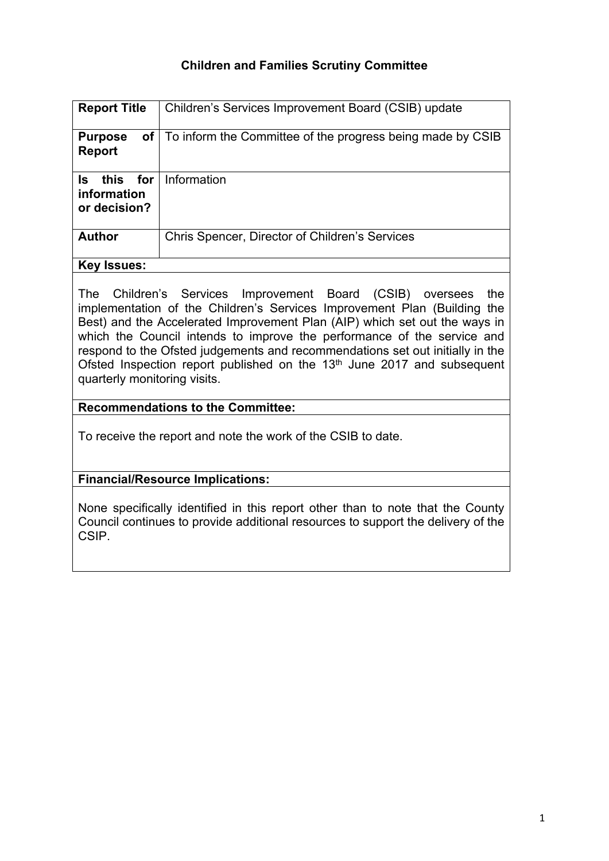# **Children and Families Scrutiny Committee**

| <b>Report Title</b>                            | Children's Services Improvement Board (CSIB) update        |
|------------------------------------------------|------------------------------------------------------------|
| of  <br><b>Purpose</b><br><b>Report</b>        | To inform the Committee of the progress being made by CSIB |
| this for<br>ls.<br>information<br>or decision? | Information                                                |
| <b>Author</b>                                  | Chris Spencer, Director of Children's Services             |
| <b>Key Issues:</b>                             |                                                            |

The Children's Services Improvement Board (CSIB) oversees the implementation of the Children's Services Improvement Plan (Building the Best) and the Accelerated Improvement Plan (AIP) which set out the ways in which the Council intends to improve the performance of the service and respond to the Ofsted judgements and recommendations set out initially in the Ofsted Inspection report published on the 13<sup>th</sup> June 2017 and subsequent quarterly monitoring visits.

## **Recommendations to the Committee:**

To receive the report and note the work of the CSIB to date.

#### **Financial/Resource Implications:**

None specifically identified in this report other than to note that the County Council continues to provide additional resources to support the delivery of the CSIP.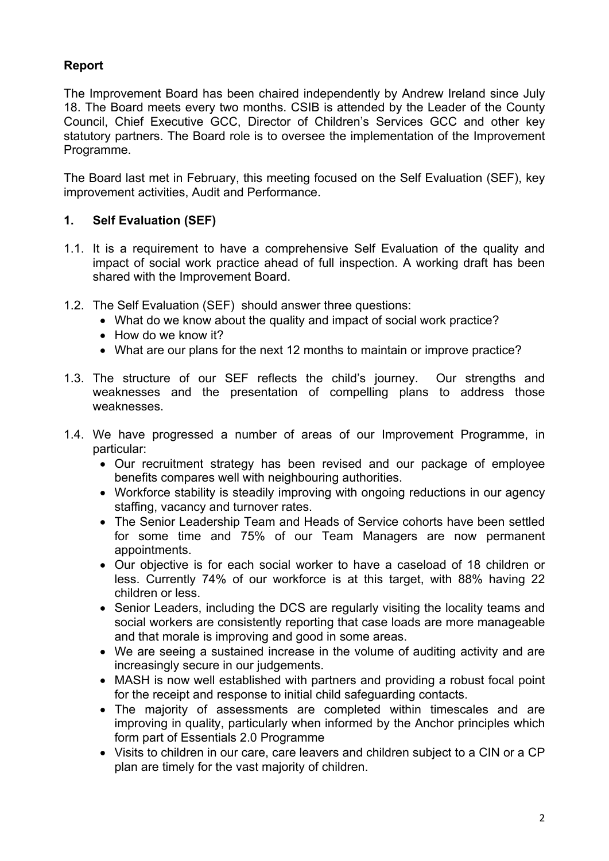# **Report**

The Improvement Board has been chaired independently by Andrew Ireland since July 18. The Board meets every two months. CSIB is attended by the Leader of the County Council, Chief Executive GCC, Director of Children's Services GCC and other key statutory partners. The Board role is to oversee the implementation of the Improvement Programme.

The Board last met in February, this meeting focused on the Self Evaluation (SEF), key improvement activities, Audit and Performance.

## **1. Self Evaluation (SEF)**

- 1.1. It is a requirement to have a comprehensive Self Evaluation of the quality and impact of social work practice ahead of full inspection. A working draft has been shared with the Improvement Board.
- 1.2. The Self Evaluation (SEF) should answer three questions:
	- What do we know about the quality and impact of social work practice?
	- How do we know it?
	- What are our plans for the next 12 months to maintain or improve practice?
- 1.3. The structure of our SEF reflects the child's journey. Our strengths and weaknesses and the presentation of compelling plans to address those weaknesses.
- 1.4. We have progressed a number of areas of our Improvement Programme, in particular:
	- Our recruitment strategy has been revised and our package of employee benefits compares well with neighbouring authorities.
	- Workforce stability is steadily improving with ongoing reductions in our agency staffing, vacancy and turnover rates.
	- The Senior Leadership Team and Heads of Service cohorts have been settled for some time and 75% of our Team Managers are now permanent appointments.
	- Our objective is for each social worker to have a caseload of 18 children or less. Currently 74% of our workforce is at this target, with 88% having 22 children or less.
	- Senior Leaders, including the DCS are regularly visiting the locality teams and social workers are consistently reporting that case loads are more manageable and that morale is improving and good in some areas.
	- We are seeing a sustained increase in the volume of auditing activity and are increasingly secure in our judgements.
	- MASH is now well established with partners and providing a robust focal point for the receipt and response to initial child safeguarding contacts.
	- The majority of assessments are completed within timescales and are improving in quality, particularly when informed by the Anchor principles which form part of Essentials 2.0 Programme
	- Visits to children in our care, care leavers and children subject to a CIN or a CP plan are timely for the vast majority of children.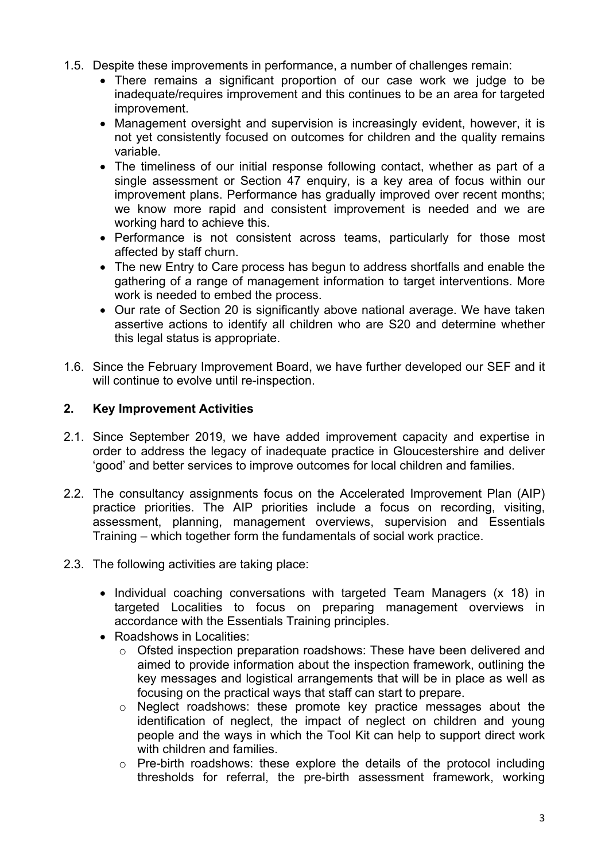- 1.5. Despite these improvements in performance, a number of challenges remain:
	- There remains a significant proportion of our case work we judge to be inadequate/requires improvement and this continues to be an area for targeted improvement.
	- Management oversight and supervision is increasingly evident, however, it is not yet consistently focused on outcomes for children and the quality remains variable.
	- The timeliness of our initial response following contact, whether as part of a single assessment or Section 47 enquiry, is a key area of focus within our improvement plans. Performance has gradually improved over recent months; we know more rapid and consistent improvement is needed and we are working hard to achieve this.
	- Performance is not consistent across teams, particularly for those most affected by staff churn.
	- The new Entry to Care process has begun to address shortfalls and enable the gathering of a range of management information to target interventions. More work is needed to embed the process.
	- Our rate of Section 20 is significantly above national average. We have taken assertive actions to identify all children who are S20 and determine whether this legal status is appropriate.
- 1.6. Since the February Improvement Board, we have further developed our SEF and it will continue to evolve until re-inspection.

# **2. Key Improvement Activities**

- 2.1. Since September 2019, we have added improvement capacity and expertise in order to address the legacy of inadequate practice in Gloucestershire and deliver 'good' and better services to improve outcomes for local children and families.
- 2.2. The consultancy assignments focus on the Accelerated Improvement Plan (AIP) practice priorities. The AIP priorities include a focus on recording, visiting, assessment, planning, management overviews, supervision and Essentials Training – which together form the fundamentals of social work practice.
- 2.3. The following activities are taking place:
	- Individual coaching conversations with targeted Team Managers (x 18) in targeted Localities to focus on preparing management overviews in accordance with the Essentials Training principles.
	- Roadshows in Localities:
		- o Ofsted inspection preparation roadshows: These have been delivered and aimed to provide information about the inspection framework, outlining the key messages and logistical arrangements that will be in place as well as focusing on the practical ways that staff can start to prepare.
		- o Neglect roadshows: these promote key practice messages about the identification of neglect, the impact of neglect on children and young people and the ways in which the Tool Kit can help to support direct work with children and families
		- o Pre-birth roadshows: these explore the details of the protocol including thresholds for referral, the pre-birth assessment framework, working